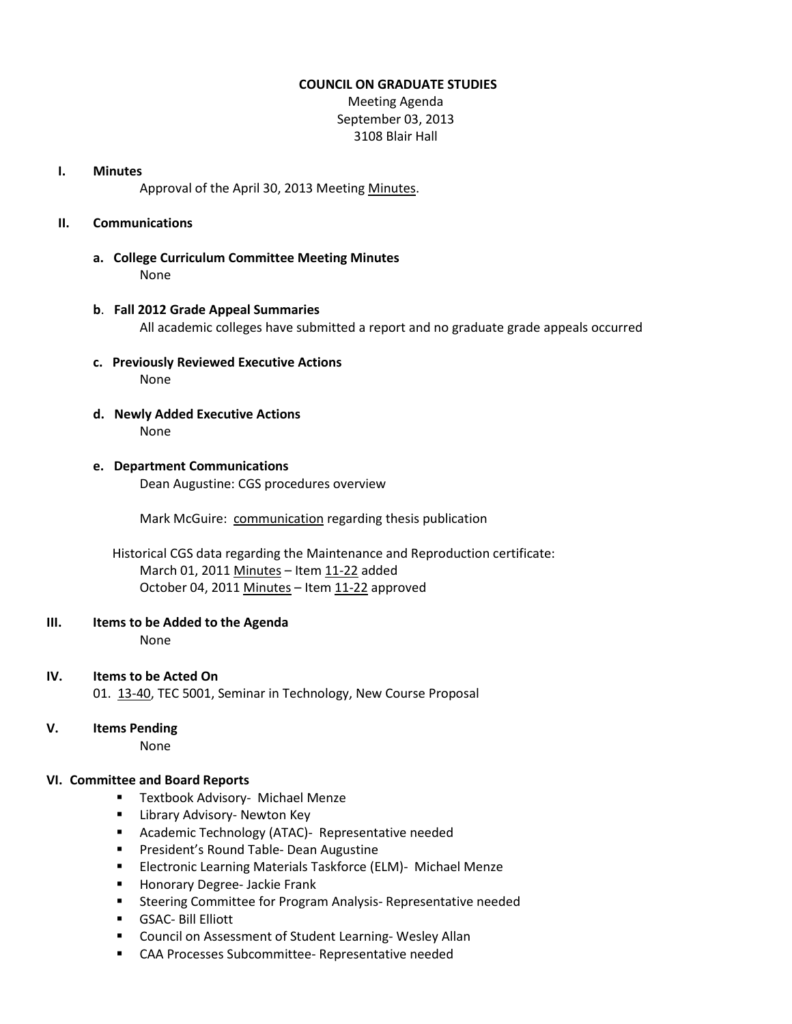## **COUNCIL ON GRADUATE STUDIES**

Meeting Agenda September 03, 2013 3108 Blair Hall

#### **I. Minutes**

Approval of the April 30, 2013 Meetin[g Minutes.](http://castle.eiu.edu/eiucgs/currentminutes/Minutes04-30-13.pdf)

## **II. Communications**

**a. College Curriculum Committee Meeting Minutes** None

## **b**. **Fall 2012 Grade Appeal Summaries** All academic colleges have submitted a report and no graduate grade appeals occurred

- **c. Previously Reviewed Executive Actions** None
- **d. Newly Added Executive Actions** None
- **e. Department Communications** Dean Augustine: CGS procedures overview

Mark McGuire: [communication](http://castle.eiu.edu/eiucgs/documents/McguireThesisReproductionDocument.pdf) regarding thesis publication

 Historical CGS data regarding the Maintenance and Reproduction certificate: March 01, 201[1 Minutes](http://castle.eiu.edu/eiucgs/currentminutes/Minutes3-1-11.pdf) - Item [11-22](http://castle.eiu.edu/~eiucgs/currentagendaitems/agenda11-22.pdf) added October 04, 2011 [Minutes](http://castle.eiu.edu/eiucgs/currentminutes/Minutes10-4-11.pdf) - Item [11-22](http://castle.eiu.edu/~eiucgs/currentagendaitems/agenda11-22.pdf) approved

#### **III. Items to be Added to the Agenda**

None

- **IV. Items to be Acted On** 01. [13-40,](http://castle.eiu.edu/~eiucgs/currentagendaitems/agenda13-40.pdf) TEC 5001, Seminar in Technology, New Course Proposal
- **V. Items Pending**

None

# **VI. Committee and Board Reports**

- **Textbook Advisory- Michael Menze**
- **E** Library Advisory- Newton Key
- **E** Academic Technology (ATAC)- Representative needed
- **President's Round Table- Dean Augustine**
- **Electronic Learning Materials Taskforce (ELM)- Michael Menze**
- **Honorary Degree- Jackie Frank**
- **E** Steering Committee for Program Analysis- Representative needed
- GSAC- Bill Elliott
- **E** Council on Assessment of Student Learning-Wesley Allan
- **EXEC** CAA Processes Subcommittee- Representative needed